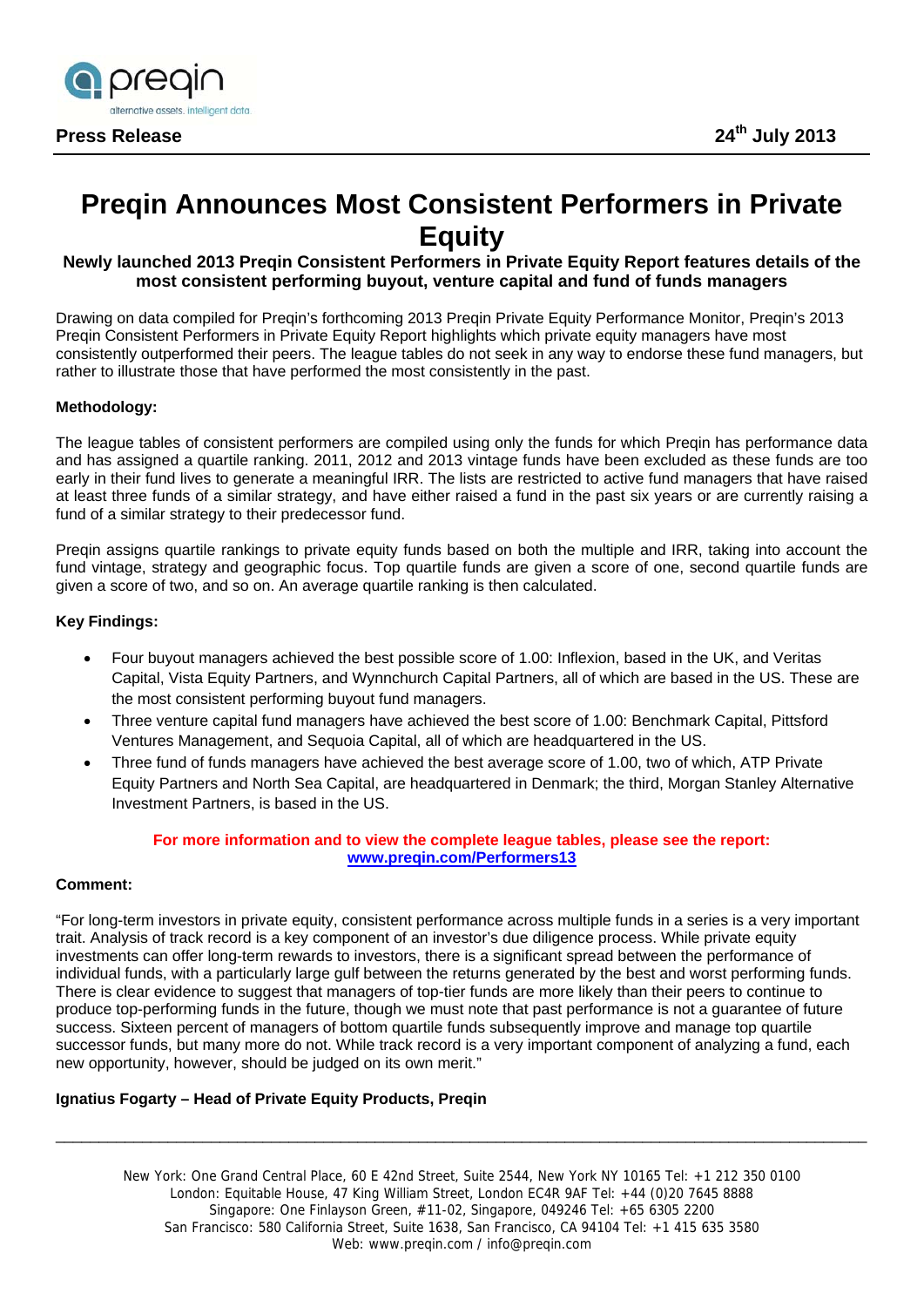

# **Preqin Announces Most Consistent Performers in Private Equity**

## **Newly launched 2013 Preqin Consistent Performers in Private Equity Report features details of the most consistent performing buyout, venture capital and fund of funds managers**

Drawing on data compiled for Preqin's forthcoming 2013 Preqin Private Equity Performance Monitor, Preqin's 2013 Preqin Consistent Performers in Private Equity Report highlights which private equity managers have most consistently outperformed their peers. The league tables do not seek in any way to endorse these fund managers, but rather to illustrate those that have performed the most consistently in the past.

## **Methodology:**

The league tables of consistent performers are compiled using only the funds for which Preqin has performance data and has assigned a quartile ranking. 2011, 2012 and 2013 vintage funds have been excluded as these funds are too early in their fund lives to generate a meaningful IRR. The lists are restricted to active fund managers that have raised at least three funds of a similar strategy, and have either raised a fund in the past six years or are currently raising a fund of a similar strategy to their predecessor fund.

Preqin assigns quartile rankings to private equity funds based on both the multiple and IRR, taking into account the fund vintage, strategy and geographic focus. Top quartile funds are given a score of one, second quartile funds are given a score of two, and so on. An average quartile ranking is then calculated.

#### **Key Findings:**

- Four buyout managers achieved the best possible score of 1.00: Inflexion, based in the UK, and Veritas Capital, Vista Equity Partners, and Wynnchurch Capital Partners, all of which are based in the US. These are the most consistent performing buyout fund managers.
- Three venture capital fund managers have achieved the best score of 1.00: Benchmark Capital, Pittsford Ventures Management, and Sequoia Capital, all of which are headquartered in the US.
- Three fund of funds managers have achieved the best average score of 1.00, two of which, ATP Private Equity Partners and North Sea Capital, are headquartered in Denmark; the third, Morgan Stanley Alternative Investment Partners, is based in the US.

#### **For more information and to view the complete league tables, please see the report: www.preqin.com/Performers13**

#### **Comment:**

"For long-term investors in private equity, consistent performance across multiple funds in a series is a very important trait. Analysis of track record is a key component of an investor's due diligence process. While private equity investments can offer long-term rewards to investors, there is a significant spread between the performance of individual funds, with a particularly large gulf between the returns generated by the best and worst performing funds. There is clear evidence to suggest that managers of top-tier funds are more likely than their peers to continue to produce top-performing funds in the future, though we must note that past performance is not a guarantee of future success. Sixteen percent of managers of bottom quartile funds subsequently improve and manage top quartile successor funds, but many more do not. While track record is a very important component of analyzing a fund, each new opportunity, however, should be judged on its own merit."

#### **Ignatius Fogarty – Head of Private Equity Products, Preqin**

New York: One Grand Central Place, 60 E 42nd Street, Suite 2544, New York NY 10165 Tel: +1 212 350 0100 London: Equitable House, 47 King William Street, London EC4R 9AF Tel: +44 (0)20 7645 8888 Singapore: One Finlayson Green, #11-02, Singapore, 049246 Tel: +65 6305 2200 San Francisco: 580 California Street, Suite 1638, San Francisco, CA 94104 Tel: +1 415 635 3580 Web: www.preqin.com / info@preqin.com

\_\_\_\_\_\_\_\_\_\_\_\_\_\_\_\_\_\_\_\_\_\_\_\_\_\_\_\_\_\_\_\_\_\_\_\_\_\_\_\_\_\_\_\_\_\_\_\_\_\_\_\_\_\_\_\_\_\_\_\_\_\_\_\_\_\_\_\_\_\_\_\_\_\_\_\_\_\_\_\_\_\_\_\_\_\_\_\_\_\_\_\_\_\_